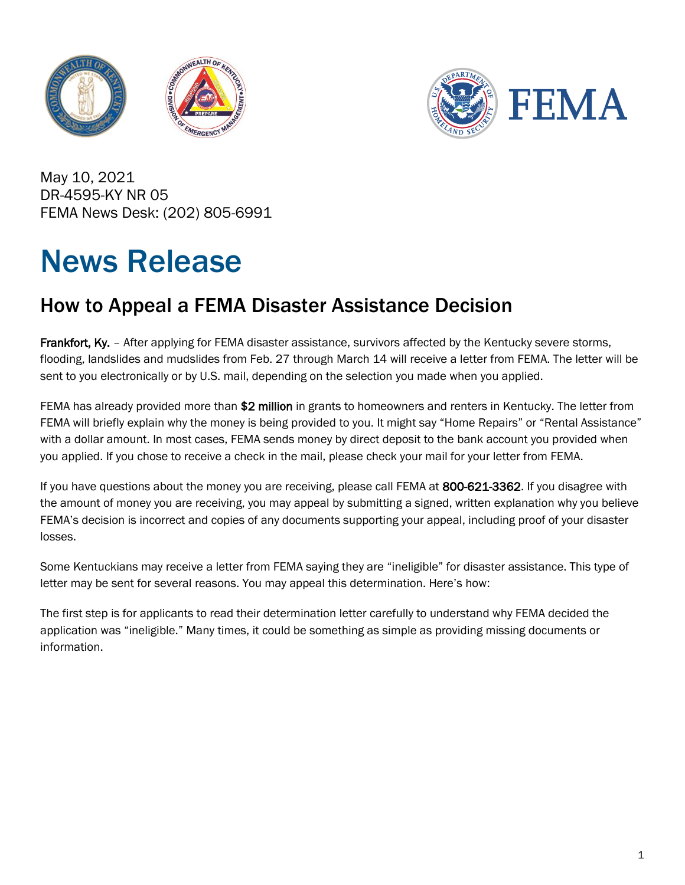



May 10, 2021 DR-4595-KY NR 05 FEMA News Desk: (202) 805-6991

## News Release

## How to Appeal a FEMA Disaster Assistance Decision

Frankfort, Ky. - After applying for FEMA disaster assistance, survivors affected by the Kentucky severe storms, flooding, landslides and mudslides from Feb. 27 through March 14 will receive a letter from FEMA. The letter will be sent to you electronically or by U.S. mail, depending on the selection you made when you applied.

FEMA has already provided more than \$2 million in grants to homeowners and renters in Kentucky. The letter from FEMA will briefly explain why the money is being provided to you. It might say "Home Repairs" or "Rental Assistance" with a dollar amount. In most cases, FEMA sends money by direct deposit to the bank account you provided when you applied. If you chose to receive a check in the mail, please check your mail for your letter from FEMA.

If you have questions about the money you are receiving, please call FEMA at 800-621-3362. If you disagree with the amount of money you are receiving, you may appeal by submitting a signed, written explanation why you believe FEMA's decision is incorrect and copies of any documents supporting your appeal, including proof of your disaster losses.

Some Kentuckians may receive a letter from FEMA saying they are "ineligible" for disaster assistance. This type of letter may be sent for several reasons. You may appeal this determination. Here's how:

The first step is for applicants to read their determination letter carefully to understand why FEMA decided the application was "ineligible." Many times, it could be something as simple as providing missing documents or information.